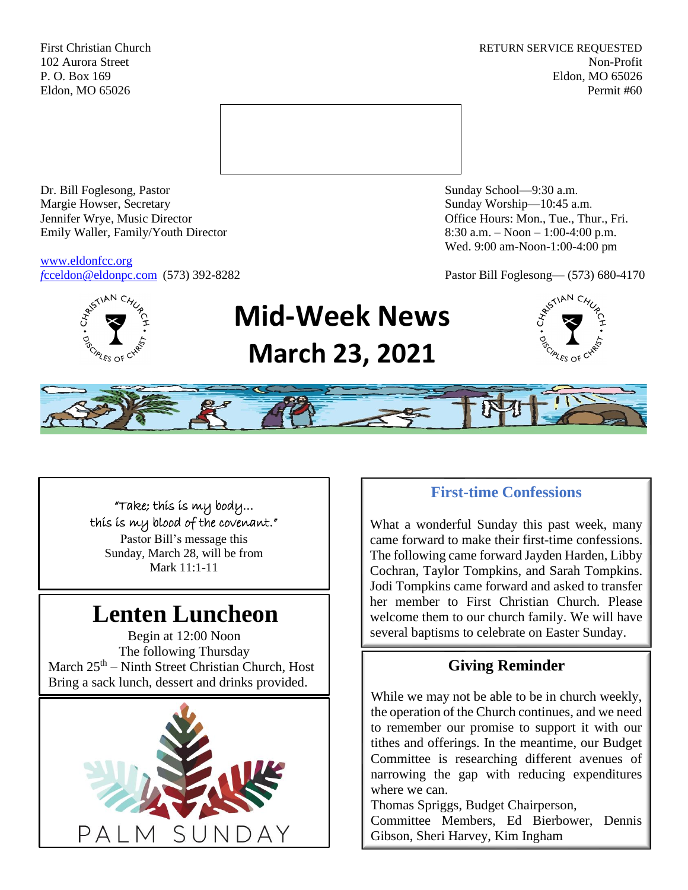First Christian Church **RETURN SERVICE REQUESTED** 102 Aurora Street Non-Profit P. O. Box 169 Eldon, MO 65026 Eldon, MO 65026 Permit #60



Dr. Bill Foglesong, Pastor Sunday School—9:30 a.m. Margie Howser, Secretary Sunday Worship—10:45 a.m. Jennifer Wrye, Music Director Office Hours: Mon., Tue., Thur., Fri. Emily Waller, Family/Youth Director 8:30 a.m. – Noon – 1:00-4:00 p.m.

[www.eldonfcc.org](http://www.eldonfcc.org/)

Wed. 9:00 am-Noon-1:00-4:00 pm

*f*[cceldon@eldonpc.com](mailto:fcceldon@eldonpc.com) (573) 392-8282 Pastor Bill Foglesong— (573) 680-4170



# **Mid-Week News March 23, 2021**





"Take; this is my body… this is my blood of the covenant." Pastor Bill's message this Sunday, March 28, will be from Mark 11:1-11

# **Lenten Luncheon**

Begin at 12:00 Noon The following Thursday March  $25<sup>th</sup>$  – Ninth Street Christian Church, Host Bring a sack lunch, dessert and drinks provided.



# **First-time Confessions**

What a wonderful Sunday this past week, many came forward to make their first-time confessions. The following came forward Jayden Harden, Libby Cochran, Taylor Tompkins, and Sarah Tompkins. Jodi Tompkins came forward and asked to transfer her member to First Christian Church. Please welcome them to our church family. We will have several baptisms to celebrate on Easter Sunday.

# **Giving Reminder**

While we may not be able to be in church weekly, the operation of the Church continues, and we need to remember our promise to support it with our tithes and offerings. In the meantime, our Budget Committee is researching different avenues of narrowing the gap with reducing expenditures where we can.

Thomas Spriggs, Budget Chairperson, Committee Members, Ed Bierbower, Dennis Gibson, Sheri Harvey, Kim Ingham